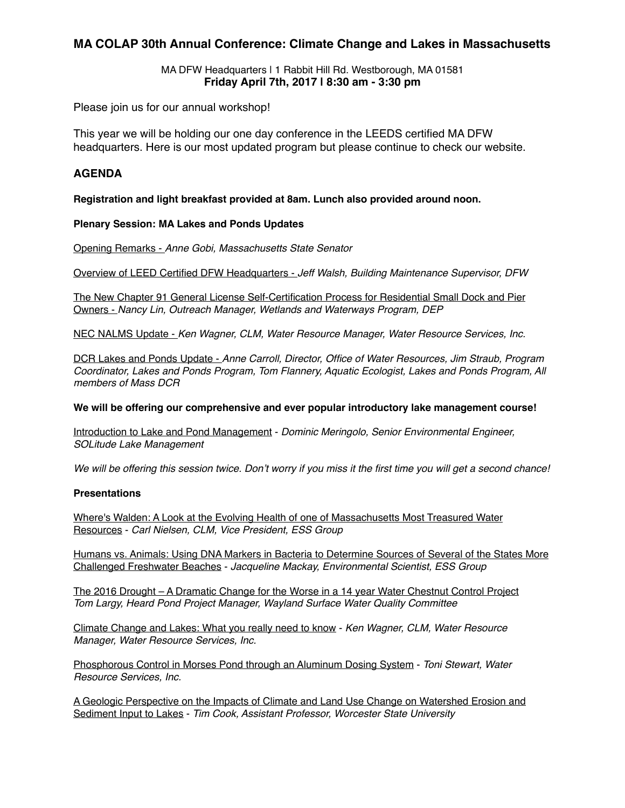### **MA COLAP 30th Annual Conference: Climate Change and Lakes in Massachusetts**

MA DFW Headquarters | 1 Rabbit Hill Rd. Westborough, MA 01581 **Friday April 7th, 2017 | 8:30 am - 3:30 pm**

Please join us for our annual workshop!

This year we will be holding our one day conference in the LEEDS certified MA DFW headquarters. Here is our most updated program but please continue to check our website.

#### **AGENDA**

**Registration and light breakfast provided at 8am. Lunch also provided around noon.**

#### **Plenary Session: MA Lakes and Ponds Updates**

Opening Remarks - *Anne Gobi, Massachusetts State Senator*

Overview of LEED Certified DFW Headquarters - *Jeff Walsh, Building Maintenance Supervisor, DFW*

The New Chapter 91 General License Self-Certification Process for Residential Small Dock and Pier Owners - *Nancy Lin, Outreach Manager, Wetlands and Waterways Program, DEP*

NEC NALMS Update - *Ken Wagner, CLM, Water Resource Manager, Water Resource Services, Inc.*

DCR Lakes and Ponds Update - *Anne Carroll, Director, Office of Water Resources, Jim Straub, Program Coordinator, Lakes and Ponds Program, Tom Flannery, Aquatic Ecologist, Lakes and Ponds Program, All members of Mass DCR* 

#### **We will be offering our comprehensive and ever popular introductory lake management course!**

Introduction to Lake and Pond Management - *Dominic Meringolo, Senior Environmental Engineer, SOLitude Lake Management*

*We will be offering this session twice. Don't worry if you miss it the first time you will get a second chance!*

#### **Presentations**

Where's Walden: A Look at the Evolving Health of one of Massachusetts Most Treasured Water Resources - *Carl Nielsen, CLM, Vice President, ESS Group*

Humans vs. Animals: Using DNA Markers in Bacteria to Determine Sources of Several of the States More Challenged Freshwater Beaches - *Jacqueline Mackay, Environmental Scientist, ESS Group*

The 2016 Drought – A Dramatic Change for the Worse in a 14 year Water Chestnut Control Project *Tom Largy, Heard Pond Project Manager, Wayland Surface Water Quality Committee*

Climate Change and Lakes: What you really need to know - *Ken Wagner, CLM, Water Resource Manager, Water Resource Services, Inc.*

Phosphorous Control in Morses Pond through an Aluminum Dosing System - *Toni Stewart, Water Resource Services, Inc.*

A Geologic Perspective on the Impacts of Climate and Land Use Change on Watershed Erosion and Sediment Input to Lakes - *Tim Cook, Assistant Professor, Worcester State University*